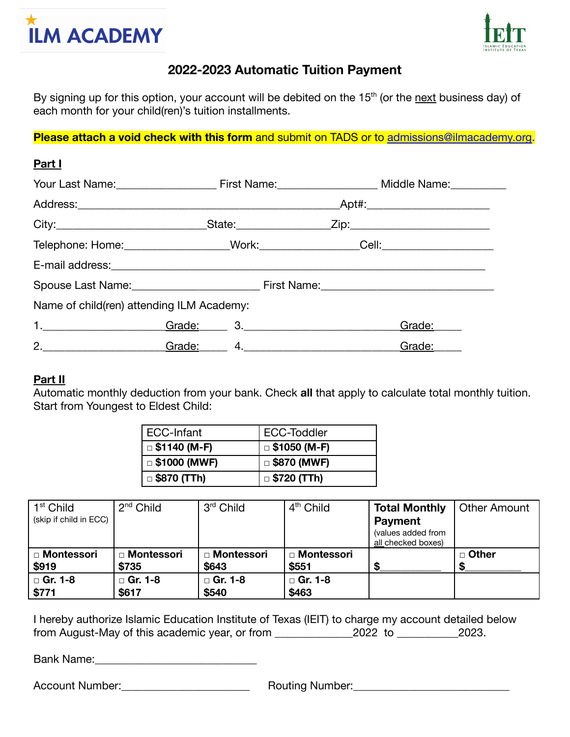



## **2022-2023 Automatic Tuition Payment**

By signing up for this option, your account will be debited on the 15<sup>th</sup> (or the next business day) of each month for your child(ren)'s tuition installments.

**Please attach a void check with this form** and submit on TADS or to [admissions@ilmacademy.org.](mailto:admissions@ilmacademy.org?subject=ACH%20Payment%20Form)

| Part I                                    |  |                                                                                                                                                                                                                                |  |                                                                                  |  |  |  |
|-------------------------------------------|--|--------------------------------------------------------------------------------------------------------------------------------------------------------------------------------------------------------------------------------|--|----------------------------------------------------------------------------------|--|--|--|
|                                           |  |                                                                                                                                                                                                                                |  |                                                                                  |  |  |  |
|                                           |  | _Apt#:___________________________                                                                                                                                                                                              |  |                                                                                  |  |  |  |
|                                           |  |                                                                                                                                                                                                                                |  |                                                                                  |  |  |  |
|                                           |  |                                                                                                                                                                                                                                |  | Telephone: Home: ____________________Work:__________________Cell: ______________ |  |  |  |
|                                           |  |                                                                                                                                                                                                                                |  |                                                                                  |  |  |  |
|                                           |  |                                                                                                                                                                                                                                |  |                                                                                  |  |  |  |
| Name of child(ren) attending ILM Academy: |  |                                                                                                                                                                                                                                |  |                                                                                  |  |  |  |
|                                           |  | Grade: 3. 3. 2008 3. 2009 3. 2009 3. 2009 3. 2009 3. 2009 3. 2009 3. 2009 3. 2009 3. 2009 3. 2009 3. 2009 3. 2009 3. 2009 3. 2009 3. 2009 3. 2009 3. 2009 3. 2009 3. 2009 3. 2009 3. 2009 3. 2009 3. 2009 3. 2009 3. 2009 3. 2 |  | Grade:                                                                           |  |  |  |
| 2.                                        |  | Grade: 4. 4. 2008 10:00 10:00 10:00 10:00 10:00 10:00 10:00 10:00 10:00 10:00 10:00 10:00 10:00 10:00 10:00 10                                                                                                                 |  | Grade:                                                                           |  |  |  |

## **Part II**

Automatic monthly deduction from your bank. Check **all** that apply to calculate total monthly tuition. Start from Youngest to Eldest Child:

| ECC-Infant          | ECC-Toddler        |  |  |
|---------------------|--------------------|--|--|
| $\Box$ \$1140 (M-F) | □ \$1050 (M-F)     |  |  |
| $\Box$ \$1000 (MWF) | $\Box$ \$870 (MWF) |  |  |
| $\Box$ \$870 (TTh)  | $\Box$ \$720 (TTh) |  |  |

| $1st$ Child            | $2nd$ Child  | $3rd$ Child    | 4 <sup>th</sup> Child | <b>Total Monthly</b>                     | <b>Other Amount</b> |
|------------------------|--------------|----------------|-----------------------|------------------------------------------|---------------------|
| (skip if child in ECC) |              |                |                       | <b>Payment</b>                           |                     |
|                        |              |                |                       | (values added from<br>all checked boxes) |                     |
| □ Montessori           | □ Montessori | □ Montessori   | □ Montessori          |                                          | □ Other             |
| \$919                  | \$735        | \$643          | \$551                 |                                          |                     |
| □ Gr. 1-8              | □ Gr. 1-8    | $\Box$ Gr. 1-8 | □ Gr. 1-8             |                                          |                     |
| \$771                  | \$617        | \$540          | \$463                 |                                          |                     |

I hereby authorize Islamic Education Institute of Texas (IEIT) to charge my account detailed below from August-May of this academic year, or from \_\_\_\_\_\_\_\_\_\_\_\_\_\_2022 to \_\_\_\_\_\_\_\_\_\_\_2023.

Bank Name:\_\_\_\_\_\_\_\_\_\_\_\_\_\_\_\_\_\_\_\_\_\_\_\_\_\_\_\_\_

Account Number: etc. Account Number: Account Number: